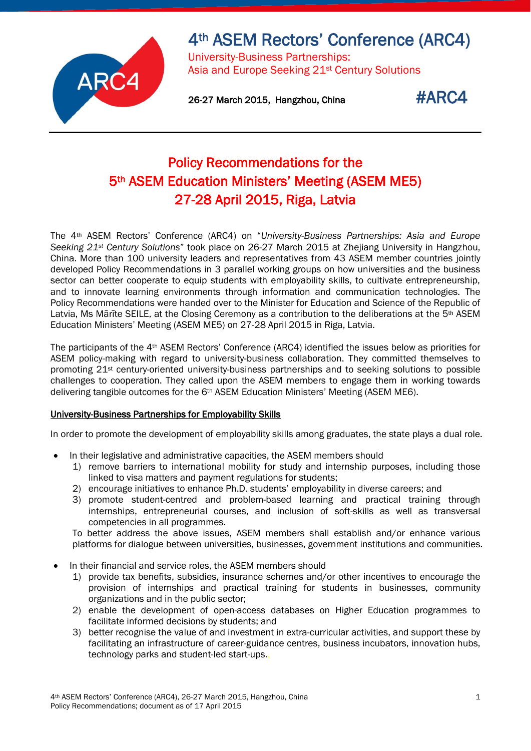

# 4th ASEM Rectors' Conference (ARC4)

University-Business Partnerships: Asia and Europe Seeking 21st Century Solutions

26-27 March 2015, Hangzhou, China  $\texttt{\#ARC4}$ 

# Policy Recommendations for the 5th ASEM Education Ministers' Meeting (ASEM ME5) 27-28 April 2015, Riga, Latvia

The 4th ASEM Rectors' Conference (ARC4) on "*University-Business Partnerships: Asia and Europe Seeking 21st Century Solutions*" took place on 26-27 March 2015 at Zhejiang University in Hangzhou, China. More than 100 university leaders and representatives from 43 ASEM member countries jointly developed Policy Recommendations in 3 parallel working groups on how universities and the business sector can better cooperate to equip students with employability skills, to cultivate entrepreneurship, and to innovate learning environments through information and communication technologies. The Policy Recommendations were handed over to the Minister for Education and Science of the Republic of Latvia, Ms Mārīte SEILE, at the Closing Ceremony as a contribution to the deliberations at the 5<sup>th</sup> ASEM Education Ministers' Meeting (ASEM ME5) on 27-28 April 2015 in Riga, Latvia.

The participants of the 4th ASEM Rectors' Conference (ARC4) identified the issues below as priorities for ASEM policy-making with regard to university-business collaboration. They committed themselves to promoting 21st century-oriented university-business partnerships and to seeking solutions to possible challenges to cooperation. They called upon the ASEM members to engage them in working towards delivering tangible outcomes for the 6th ASEM Education Ministers' Meeting (ASEM ME6).

## University-Business Partnerships for Employability Skills

In order to promote the development of employability skills among graduates, the state plays a dual role.

- In their legislative and administrative capacities, the ASEM members should
	- 1) remove barriers to international mobility for study and internship purposes, including those linked to visa matters and payment regulations for students;
	- 2) encourage initiatives to enhance Ph.D. students' employability in diverse careers; and
	- 3) promote student-centred and problem-based learning and practical training through internships, entrepreneurial courses, and inclusion of soft-skills as well as transversal competencies in all programmes.

To better address the above issues, ASEM members shall establish and/or enhance various platforms for dialogue between universities, businesses, government institutions and communities.

- In their financial and service roles, the ASEM members should
	- 1) provide tax benefits, subsidies, insurance schemes and/or other incentives to encourage the provision of internships and practical training for students in businesses, community organizations and in the public sector;
	- 2) enable the development of open-access databases on Higher Education programmes to facilitate informed decisions by students; and
	- 3) better recognise the value of and investment in extra-curricular activities, and support these by facilitating an infrastructure of career-guidance centres, business incubators, innovation hubs, technology parks and student-led start-ups..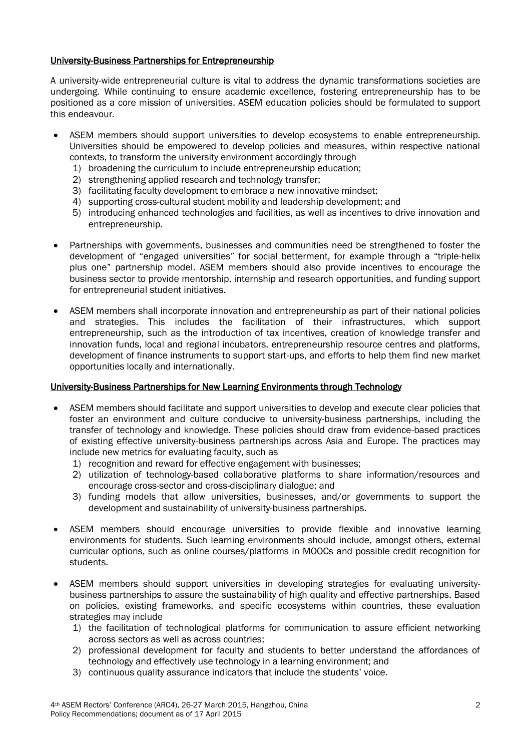### University-Business Partnerships for Entrepreneurship

A university-wide entrepreneurial culture is vital to address the dynamic transformations societies are undergoing. While continuing to ensure academic excellence, fostering entrepreneurship has to be positioned as a core mission of universities. ASEM education policies should be formulated to support this endeavour.

- ASEM members should support universities to develop ecosystems to enable entrepreneurship. Universities should be empowered to develop policies and measures, within respective national contexts, to transform the university environment accordingly through
	- 1) broadening the curriculum to include entrepreneurship education;
	- 2) strengthening applied research and technology transfer;
	- 3) facilitating faculty development to embrace a new innovative mindset;
	- 4) supporting cross-cultural student mobility and leadership development; and
	- 5) introducing enhanced technologies and facilities, as well as incentives to drive innovation and entrepreneurship.
- Partnerships with governments, businesses and communities need be strengthened to foster the development of "engaged universities" for social betterment, for example through a "triple-helix plus one" partnership model. ASEM members should also provide incentives to encourage the business sector to provide mentorship, internship and research opportunities, and funding support for entrepreneurial student initiatives.
- ASEM members shall incorporate innovation and entrepreneurship as part of their national policies and strategies. This includes the facilitation of their infrastructures, which support entrepreneurship, such as the introduction of tax incentives, creation of knowledge transfer and innovation funds, local and regional incubators, entrepreneurship resource centres and platforms, development of finance instruments to support start-ups, and efforts to help them find new market opportunities locally and internationally.

### University-Business Partnerships for New Learning Environments through Technology

- ASEM members should facilitate and support universities to develop and execute clear policies that foster an environment and culture conducive to university-business partnerships, including the transfer of technology and knowledge. These policies should draw from evidence-based practices of existing effective university-business partnerships across Asia and Europe. The practices may include new metrics for evaluating faculty, such as
	- 1) recognition and reward for effective engagement with businesses;
	- 2) utilization of technology-based collaborative platforms to share information/resources and encourage cross-sector and cross-disciplinary dialogue; and
	- 3) funding models that allow universities, businesses, and/or governments to support the development and sustainability of university-business partnerships.
- ASEM members should encourage universities to provide flexible and innovative learning environments for students. Such learning environments should include, amongst others, external curricular options, such as online courses/platforms in MOOCs and possible credit recognition for students.
- ASEM members should support universities in developing strategies for evaluating universitybusiness partnerships to assure the sustainability of high quality and effective partnerships. Based on policies, existing frameworks, and specific ecosystems within countries, these evaluation strategies may include
	- 1) the facilitation of technological platforms for communication to assure efficient networking across sectors as well as across countries;
	- 2) professional development for faculty and students to better understand the affordances of technology and effectively use technology in a learning environment; and
	- 3) continuous quality assurance indicators that include the students' voice.